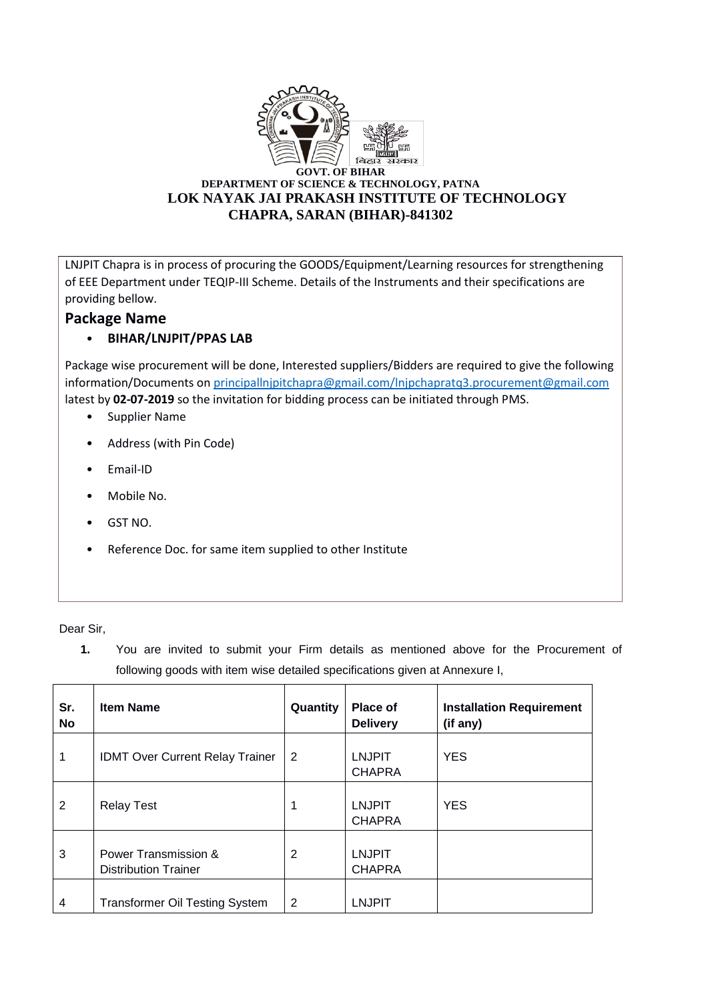

LNJPIT Chapra is in process of procuring the GOODS/Equipment/Learning resources for strengthening of EEE Department under TEQIP-III Scheme. Details of the Instruments and their specifications are providing bellow.

## **Package Name**

## • **BIHAR/LNJPIT/PPAS LAB**

Package wise procurement will be done, Interested suppliers/Bidders are required to give the following information/Documents o[n principallnjpitchapra@gmail.com/lnjpchapratq3.procurement@gmail.com](mailto:principallnjpitchapra@gmail.com/lnjpchapratq3.procurement@gmail.com) latest by **02-07-2019** so the invitation for bidding process can be initiated through PMS.

- Supplier Name
- Address (with Pin Code)
- Email-ID
- Mobile No.
- GST NO.
- Reference Doc. for same item supplied to other Institute

Dear Sir,

**1.** You are invited to submit your Firm details as mentioned above for the Procurement of following goods with item wise detailed specifications given at Annexure I,

| Sr.<br>No      | <b>Item Name</b>                                    | Quantity | <b>Place of</b><br><b>Delivery</b> | <b>Installation Requirement</b><br>(if any) |
|----------------|-----------------------------------------------------|----------|------------------------------------|---------------------------------------------|
| 1              | <b>IDMT Over Current Relay Trainer</b>              | 2        | <b>LNJPIT</b><br><b>CHAPRA</b>     | <b>YES</b>                                  |
| 2              | <b>Relay Test</b>                                   | 1        | <b>LNJPIT</b><br><b>CHAPRA</b>     | <b>YES</b>                                  |
| 3              | Power Transmission &<br><b>Distribution Trainer</b> | 2        | <b>LNJPIT</b><br><b>CHAPRA</b>     |                                             |
| $\overline{4}$ | <b>Transformer Oil Testing System</b>               | 2        | <b>LNJPIT</b>                      |                                             |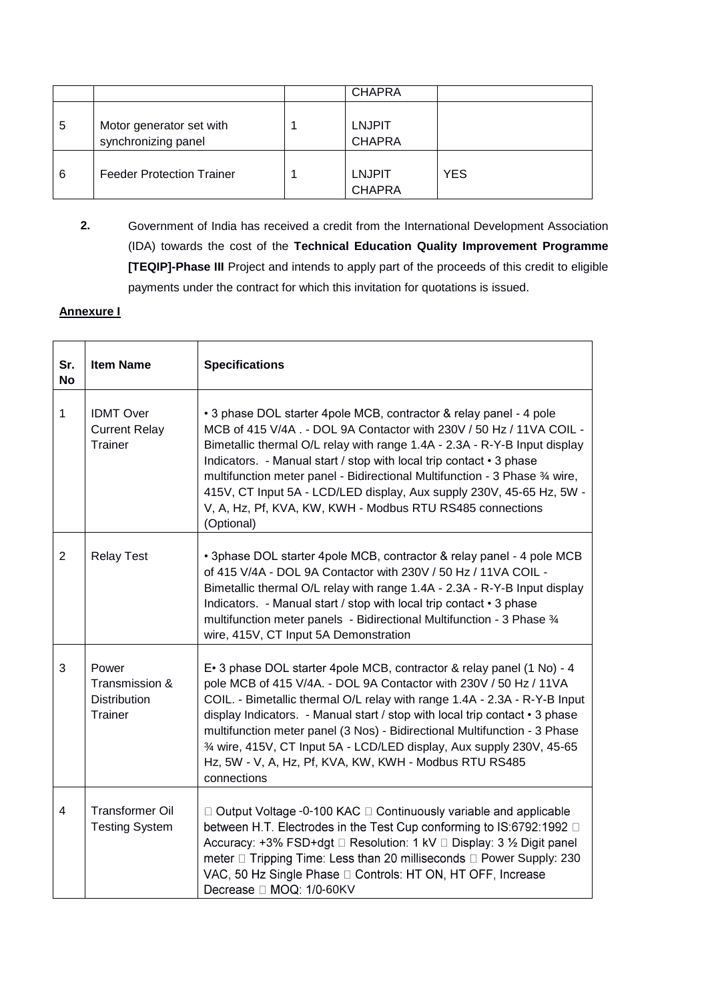|   |                                                 | <b>CHAPRA</b>                  |            |
|---|-------------------------------------------------|--------------------------------|------------|
| 5 | Motor generator set with<br>synchronizing panel | <b>LNJPIT</b><br><b>CHAPRA</b> |            |
| 6 | <b>Feeder Protection Trainer</b>                | <b>LNJPIT</b><br><b>CHAPRA</b> | <b>YES</b> |

**2.** Government of India has received a credit from the International Development Association (IDA) towards the cost of the **Technical Education Quality Improvement Programme [TEQIP]-Phase III** Project and intends to apply part of the proceeds of this credit to eligible payments under the contract for which this invitation for quotations is issued.

## **Annexure I**

| Sr.<br><b>No</b> | <b>Item Name</b>                                          | <b>Specifications</b>                                                                                                                                                                                                                                                                                                                                                                                                                                                                                                                 |
|------------------|-----------------------------------------------------------|---------------------------------------------------------------------------------------------------------------------------------------------------------------------------------------------------------------------------------------------------------------------------------------------------------------------------------------------------------------------------------------------------------------------------------------------------------------------------------------------------------------------------------------|
| 1                | <b>IDMT Over</b><br><b>Current Relay</b><br>Trainer       | • 3 phase DOL starter 4pole MCB, contractor & relay panel - 4 pole<br>MCB of 415 V/4A . - DOL 9A Contactor with 230V / 50 Hz / 11VA COIL -<br>Bimetallic thermal O/L relay with range 1.4A - 2.3A - R-Y-B Input display<br>Indicators. - Manual start / stop with local trip contact • 3 phase<br>multifunction meter panel - Bidirectional Multifunction - 3 Phase 34 wire,<br>415V, CT Input 5A - LCD/LED display, Aux supply 230V, 45-65 Hz, 5W -<br>V, A, Hz, Pf, KVA, KW, KWH - Modbus RTU RS485 connections<br>(Optional)       |
| $\overline{2}$   | <b>Relay Test</b>                                         | • 3phase DOL starter 4pole MCB, contractor & relay panel - 4 pole MCB<br>of 415 V/4A - DOL 9A Contactor with 230V / 50 Hz / 11VA COIL -<br>Bimetallic thermal O/L relay with range 1.4A - 2.3A - R-Y-B Input display<br>Indicators. - Manual start / stop with local trip contact • 3 phase<br>multifunction meter panels - Bidirectional Multifunction - 3 Phase 3/4<br>wire, 415V, CT Input 5A Demonstration                                                                                                                        |
| 3                | Power<br>Transmission &<br><b>Distribution</b><br>Trainer | E. 3 phase DOL starter 4pole MCB, contractor & relay panel (1 No) - 4<br>pole MCB of 415 V/4A. - DOL 9A Contactor with 230V / 50 Hz / 11VA<br>COIL. - Bimetallic thermal O/L relay with range 1.4A - 2.3A - R-Y-B Input<br>display Indicators. - Manual start / stop with local trip contact • 3 phase<br>multifunction meter panel (3 Nos) - Bidirectional Multifunction - 3 Phase<br>3⁄4 wire, 415V, CT Input 5A - LCD/LED display, Aux supply 230V, 45-65<br>Hz, 5W - V, A, Hz, Pf, KVA, KW, KWH - Modbus RTU RS485<br>connections |
| $\overline{4}$   | <b>Transformer Oil</b><br><b>Testing System</b>           | $\Box$ Output Voltage -0-100 KAC $\Box$ Continuously variable and applicable<br>between H.T. Electrodes in the Test Cup conforming to IS:6792:1992 □<br>Accuracy: +3% FSD+dgt □ Resolution: 1 kV □ Display: 3 ½ Digit panel<br>meter □ Tripping Time: Less than 20 milliseconds □ Power Supply: 230<br>VAC, 50 Hz Single Phase [ Controls: HT ON, HT OFF, Increase<br>Decrease □ MOQ: 1/0-60KV                                                                                                                                        |